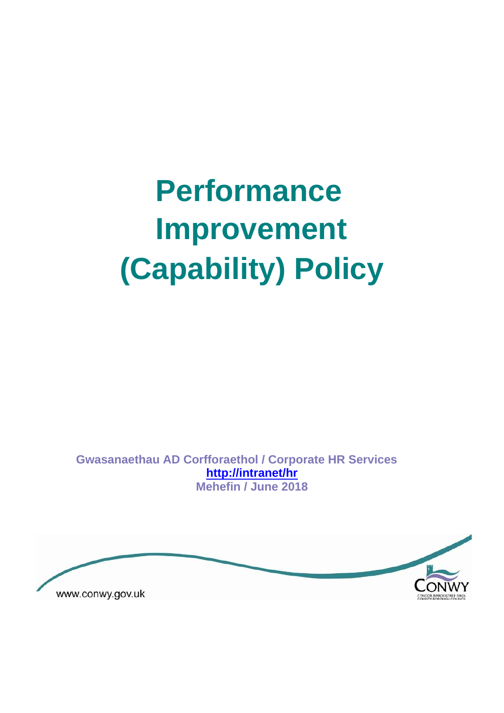# **Performance Improvement (Capability) Policy**

**Gwasanaethau AD Corfforaethol / Corporate HR Services <http://intranet/hr> Mehefin / June 2018** 

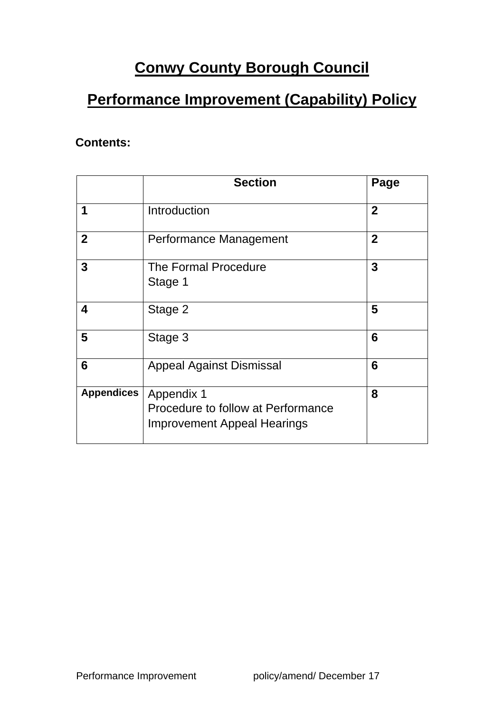## **Conwy County Borough Council**

## **Performance Improvement (Capability) Policy**

#### **Contents:**

|                   | <b>Section</b>                                                                         | Page                    |
|-------------------|----------------------------------------------------------------------------------------|-------------------------|
| 1                 | Introduction                                                                           | $\mathbf{2}$            |
| $\mathbf{2}$      | Performance Management                                                                 | $\mathbf{2}$            |
| $\mathbf{3}$      | <b>The Formal Procedure</b><br>Stage 1                                                 | $\overline{\mathbf{3}}$ |
| 4                 | Stage 2                                                                                | 5                       |
| 5                 | Stage 3                                                                                | 6                       |
| 6                 | <b>Appeal Against Dismissal</b>                                                        | 6                       |
| <b>Appendices</b> | Appendix 1<br>Procedure to follow at Performance<br><b>Improvement Appeal Hearings</b> | 8                       |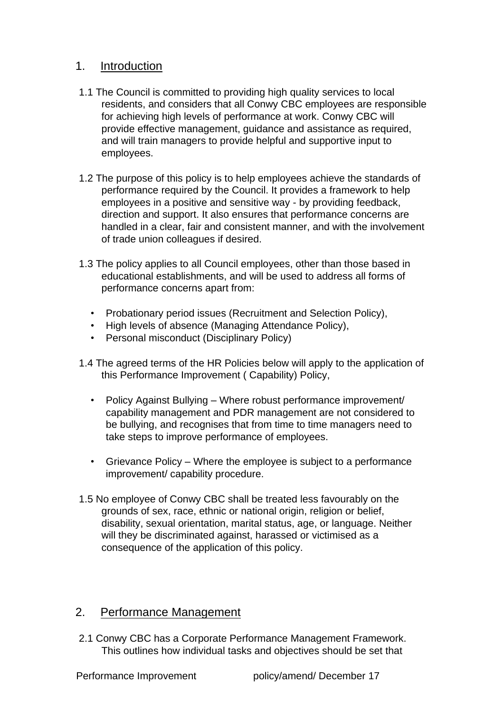#### 1. Introduction

- 1.1 The Council is committed to providing high quality services to local residents, and considers that all Conwy CBC employees are responsible for achieving high levels of performance at work. Conwy CBC will provide effective management, guidance and assistance as required, and will train managers to provide helpful and supportive input to employees.
- 1.2 The purpose of this policy is to help employees achieve the standards of performance required by the Council. It provides a framework to help employees in a positive and sensitive way - by providing feedback, direction and support. It also ensures that performance concerns are handled in a clear, fair and consistent manner, and with the involvement of trade union colleagues if desired.
- 1.3 The policy applies to all Council employees, other than those based in educational establishments, and will be used to address all forms of performance concerns apart from:
	- Probationary period issues (Recruitment and Selection Policy),
	- High levels of absence (Managing Attendance Policy),
	- Personal misconduct (Disciplinary Policy)
- 1.4 The agreed terms of the HR Policies below will apply to the application of this Performance Improvement ( Capability) Policy,
	- Policy Against Bullying Where robust performance improvement/ capability management and PDR management are not considered to be bullying, and recognises that from time to time managers need to take steps to improve performance of employees.
	- Grievance Policy Where the employee is subject to a performance improvement/ capability procedure.
- 1.5 No employee of Conwy CBC shall be treated less favourably on the grounds of sex, race, ethnic or national origin, religion or belief, disability, sexual orientation, marital status, age, or language. Neither will they be discriminated against, harassed or victimised as a consequence of the application of this policy.

#### 2. Performance Management

2.1 Conwy CBC has a Corporate Performance Management Framework. This outlines how individual tasks and objectives should be set that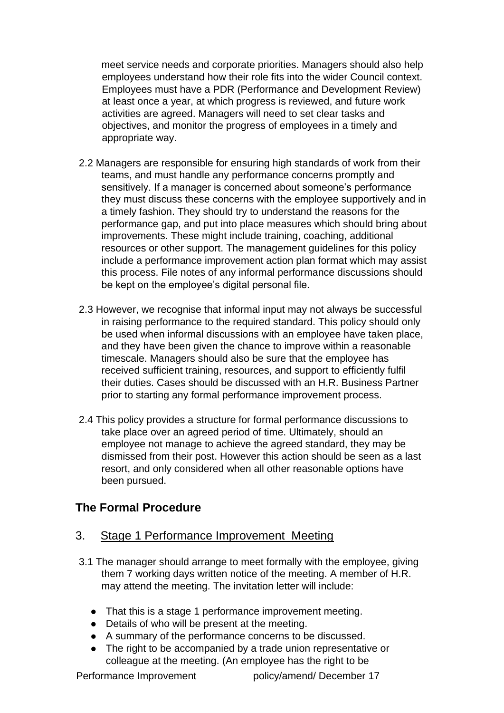meet service needs and corporate priorities. Managers should also help employees understand how their role fits into the wider Council context. Employees must have a PDR (Performance and Development Review) at least once a year, at which progress is reviewed, and future work activities are agreed. Managers will need to set clear tasks and objectives, and monitor the progress of employees in a timely and appropriate way.

- 2.2 Managers are responsible for ensuring high standards of work from their teams, and must handle any performance concerns promptly and sensitively. If a manager is concerned about someone's performance they must discuss these concerns with the employee supportively and in a timely fashion. They should try to understand the reasons for the performance gap, and put into place measures which should bring about improvements. These might include training, coaching, additional resources or other support. The management guidelines for this policy include a performance improvement action plan format which may assist this process. File notes of any informal performance discussions should be kept on the employee's digital personal file.
- 2.3 However, we recognise that informal input may not always be successful in raising performance to the required standard. This policy should only be used when informal discussions with an employee have taken place, and they have been given the chance to improve within a reasonable timescale. Managers should also be sure that the employee has received sufficient training, resources, and support to efficiently fulfil their duties. Cases should be discussed with an H.R. Business Partner prior to starting any formal performance improvement process.
- 2.4 This policy provides a structure for formal performance discussions to take place over an agreed period of time. Ultimately, should an employee not manage to achieve the agreed standard, they may be dismissed from their post. However this action should be seen as a last resort, and only considered when all other reasonable options have been pursued.

#### **The Formal Procedure**

#### 3. Stage 1 Performance Improvement Meeting

- 3.1 The manager should arrange to meet formally with the employee, giving them 7 working days written notice of the meeting. A member of H.R. may attend the meeting. The invitation letter will include:
	- That this is a stage 1 performance improvement meeting.
	- Details of who will be present at the meeting.
	- A summary of the performance concerns to be discussed.
	- The right to be accompanied by a trade union representative or colleague at the meeting. (An employee has the right to be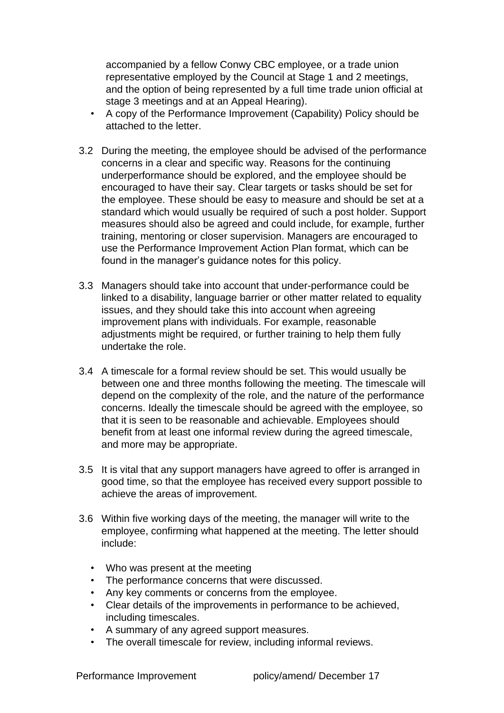accompanied by a fellow Conwy CBC employee, or a trade union representative employed by the Council at Stage 1 and 2 meetings, and the option of being represented by a full time trade union official at stage 3 meetings and at an Appeal Hearing).

- A copy of the Performance Improvement (Capability) Policy should be attached to the letter.
- 3.2 During the meeting, the employee should be advised of the performance concerns in a clear and specific way. Reasons for the continuing underperformance should be explored, and the employee should be encouraged to have their say. Clear targets or tasks should be set for the employee. These should be easy to measure and should be set at a standard which would usually be required of such a post holder. Support measures should also be agreed and could include, for example, further training, mentoring or closer supervision. Managers are encouraged to use the Performance Improvement Action Plan format, which can be found in the manager's guidance notes for this policy.
- 3.3 Managers should take into account that under-performance could be linked to a disability, language barrier or other matter related to equality issues, and they should take this into account when agreeing improvement plans with individuals. For example, reasonable adjustments might be required, or further training to help them fully undertake the role.
- 3.4 A timescale for a formal review should be set. This would usually be between one and three months following the meeting. The timescale will depend on the complexity of the role, and the nature of the performance concerns. Ideally the timescale should be agreed with the employee, so that it is seen to be reasonable and achievable. Employees should benefit from at least one informal review during the agreed timescale, and more may be appropriate.
- 3.5 It is vital that any support managers have agreed to offer is arranged in good time, so that the employee has received every support possible to achieve the areas of improvement.
- 3.6 Within five working days of the meeting, the manager will write to the employee, confirming what happened at the meeting. The letter should include:
	- Who was present at the meeting
	- The performance concerns that were discussed.
	- Any key comments or concerns from the employee.
	- Clear details of the improvements in performance to be achieved, including timescales.
	- A summary of any agreed support measures.
	- The overall timescale for review, including informal reviews.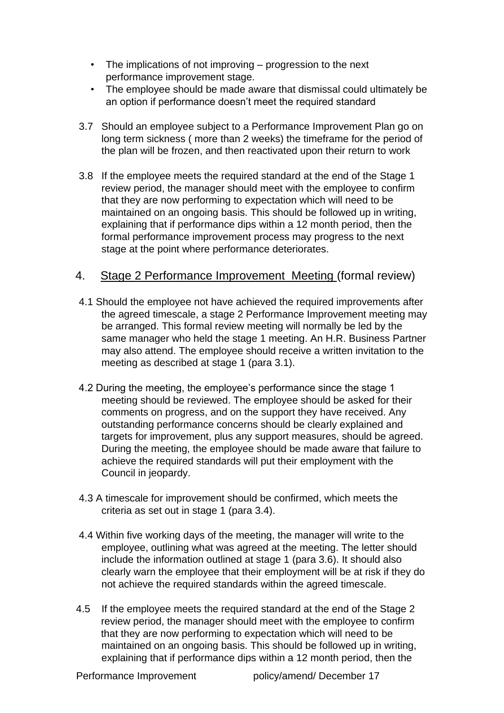- The implications of not improving progression to the next performance improvement stage.
- The employee should be made aware that dismissal could ultimately be an option if performance doesn't meet the required standard
- 3.7 Should an employee subject to a Performance Improvement Plan go on long term sickness ( more than 2 weeks) the timeframe for the period of the plan will be frozen, and then reactivated upon their return to work
- 3.8 If the employee meets the required standard at the end of the Stage 1 review period, the manager should meet with the employee to confirm that they are now performing to expectation which will need to be maintained on an ongoing basis. This should be followed up in writing, explaining that if performance dips within a 12 month period, then the formal performance improvement process may progress to the next stage at the point where performance deteriorates.

#### 4. Stage 2 Performance Improvement Meeting (formal review)

- 4.1 Should the employee not have achieved the required improvements after the agreed timescale, a stage 2 Performance Improvement meeting may be arranged. This formal review meeting will normally be led by the same manager who held the stage 1 meeting. An H.R. Business Partner may also attend. The employee should receive a written invitation to the meeting as described at stage 1 (para 3.1).
- 4.2 During the meeting, the employee's performance since the stage 1 meeting should be reviewed. The employee should be asked for their comments on progress, and on the support they have received. Any outstanding performance concerns should be clearly explained and targets for improvement, plus any support measures, should be agreed. During the meeting, the employee should be made aware that failure to achieve the required standards will put their employment with the Council in jeopardy.
- 4.3 A timescale for improvement should be confirmed, which meets the criteria as set out in stage 1 (para 3.4).
- 4.4 Within five working days of the meeting, the manager will write to the employee, outlining what was agreed at the meeting. The letter should include the information outlined at stage 1 (para 3.6). It should also clearly warn the employee that their employment will be at risk if they do not achieve the required standards within the agreed timescale.
- 4.5 If the employee meets the required standard at the end of the Stage 2 review period, the manager should meet with the employee to confirm that they are now performing to expectation which will need to be maintained on an ongoing basis. This should be followed up in writing, explaining that if performance dips within a 12 month period, then the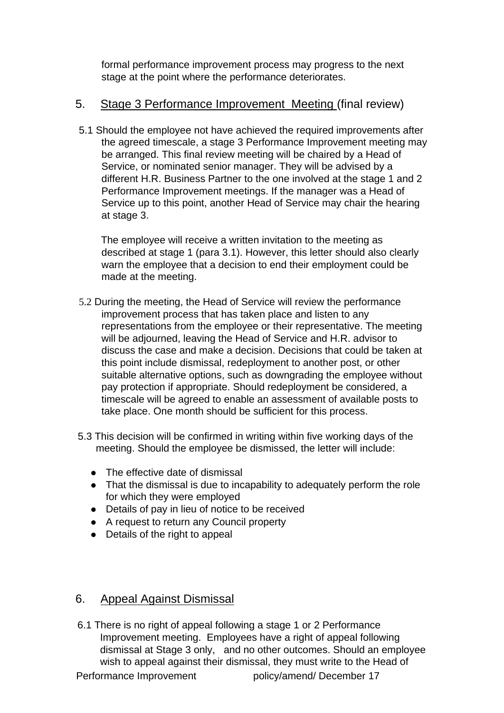formal performance improvement process may progress to the next stage at the point where the performance deteriorates.

#### 5. Stage 3 Performance Improvement Meeting (final review)

5.1 Should the employee not have achieved the required improvements after the agreed timescale, a stage 3 Performance Improvement meeting may be arranged. This final review meeting will be chaired by a Head of Service, or nominated senior manager. They will be advised by a different H.R. Business Partner to the one involved at the stage 1 and 2 Performance Improvement meetings. If the manager was a Head of Service up to this point, another Head of Service may chair the hearing at stage 3.

The employee will receive a written invitation to the meeting as described at stage 1 (para 3.1). However, this letter should also clearly warn the employee that a decision to end their employment could be made at the meeting.

- 5.2 During the meeting, the Head of Service will review the performance improvement process that has taken place and listen to any representations from the employee or their representative. The meeting will be adjourned, leaving the Head of Service and H.R. advisor to discuss the case and make a decision. Decisions that could be taken at this point include dismissal, redeployment to another post, or other suitable alternative options, such as downgrading the employee without pay protection if appropriate. Should redeployment be considered, a timescale will be agreed to enable an assessment of available posts to take place. One month should be sufficient for this process.
- 5.3 This decision will be confirmed in writing within five working days of the meeting. Should the employee be dismissed, the letter will include:
	- The effective date of dismissal
	- That the dismissal is due to incapability to adequately perform the role for which they were employed
	- Details of pay in lieu of notice to be received
	- A request to return any Council property
	- Details of the right to appeal

#### 6. Appeal Against Dismissal

6.1 There is no right of appeal following a stage 1 or 2 Performance Improvement meeting. Employees have a right of appeal following dismissal at Stage 3 only, and no other outcomes. Should an employee wish to appeal against their dismissal, they must write to the Head of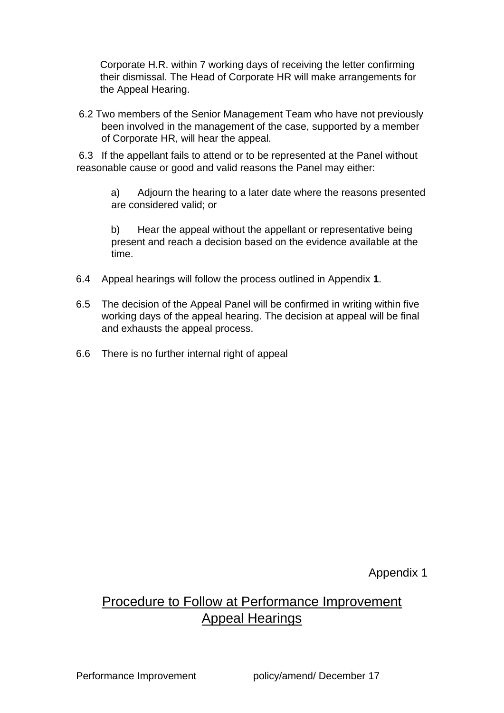Corporate H.R. within 7 working days of receiving the letter confirming their dismissal. The Head of Corporate HR will make arrangements for the Appeal Hearing.

6.2 Two members of the Senior Management Team who have not previously been involved in the management of the case, supported by a member of Corporate HR, will hear the appeal.

6.3 If the appellant fails to attend or to be represented at the Panel without reasonable cause or good and valid reasons the Panel may either:

a) Adjourn the hearing to a later date where the reasons presented are considered valid; or

b) Hear the appeal without the appellant or representative being present and reach a decision based on the evidence available at the time.

- 6.4 Appeal hearings will follow the process outlined in Appendix **1**.
- 6.5 The decision of the Appeal Panel will be confirmed in writing within five working days of the appeal hearing. The decision at appeal will be final and exhausts the appeal process.
- 6.6 There is no further internal right of appeal

Appendix 1

### Procedure to Follow at Performance Improvement Appeal Hearings